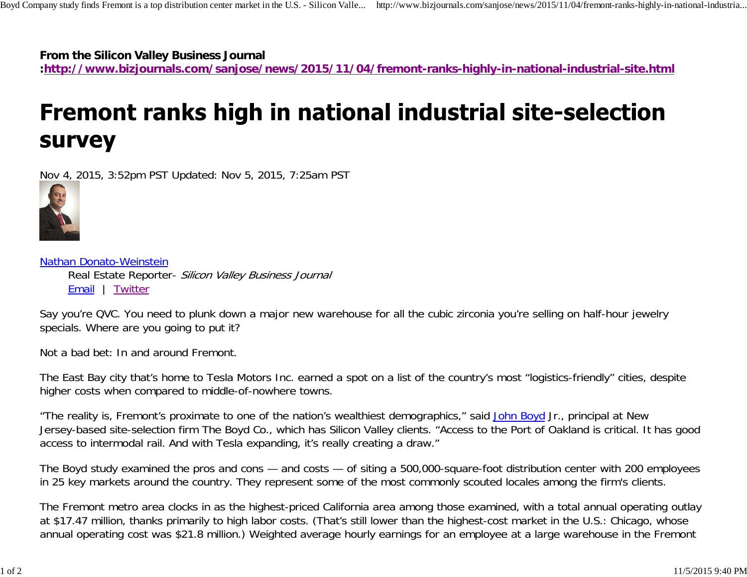**From the Silicon Valley Business Journal**

**:http://www.bizjournals.com/sanjose/news/2015/11/04/fremont-ranks-highly-in-national-industrial-site.html**

## Fremont ranks high in national industrial site-selection **Survey**

Nov 4, 2015, 3:52pm PST Updated: Nov 5, 2015, 7:25am PST



Nathan Donato-Weinstein Real Estate Reporter- Silicon Valley Business Journal Email | Twitter

Say you're QVC. You need to plunk down a major new warehouse for all the cubic zirconia you're selling on half-hour jewelry specials. Where are you going to put it?

Not a bad bet: In and around Fremont.

The East Bay city that's home to Tesla Motors Inc. earned a spot on a list of the country's most "logistics-friendly" cities, despite higher costs when compared to middle-of-nowhere towns.

"The reality is, Fremont's proximate to one of the nation's wealthiest demographics," said John Boyd Jr., principal at New Jersey-based site-selection firm The Boyd Co., which has Silicon Valley clients. "Access to the Port of Oakland is critical. It has good access to intermodal rail. And with Tesla expanding, it's really creating a draw."

The Boyd study examined the pros and cons — and costs — of siting a 500,000-square-foot distribution center with 200 employees in 25 key markets around the country. They represent some of the most commonly scouted locales among the firm's clients.

The Fremont metro area clocks in as the highest-priced California area among those examined, with a total annual operating outlay at \$17.47 million, thanks primarily to high labor costs. (That's still lower than the highest-cost market in the U.S.: Chicago, whose annual operating cost was \$21.8 million.) Weighted average hourly earnings for an employee at a large warehouse in the Fremont